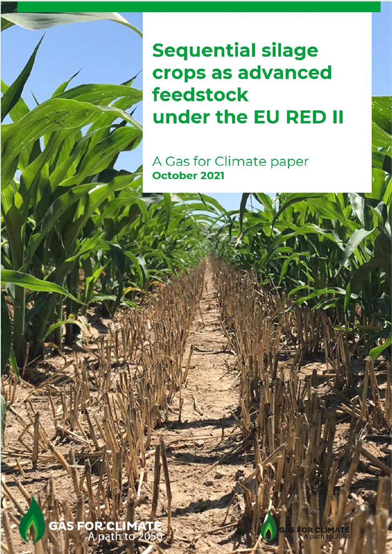**Sequential silage** crops as advanced feedstock **crops under the EU REDII**

**A Gas for Climate paper** October 2021

**GAS FOR CLIMAT** A path to 2050

**August 2021**

**S FOR CLIMAT**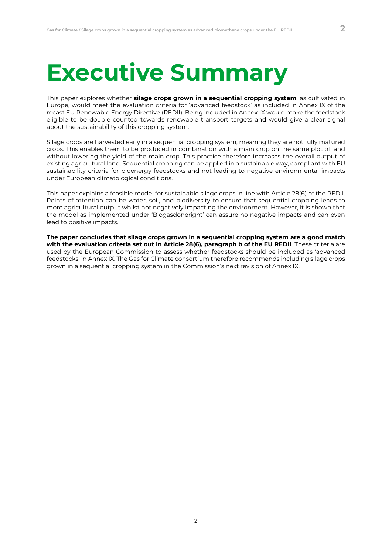## **Executive Summary**

This paper explores whether **silage crops grown in a sequential cropping system**, as cultivated in Europe, would meet the evaluation criteria for 'advanced feedstock' as included in Annex IX of the recast EU Renewable Energy Directive (REDII). Being included in Annex IX would make the feedstock eligible to be double counted towards renewable transport targets and would give a clear signal about the sustainability of this cropping system.

Silage crops are harvested early in a sequential cropping system, meaning they are not fully matured crops. This enables them to be produced in combination with a main crop on the same plot of land without lowering the yield of the main crop. This practice therefore increases the overall output of existing agricultural land. Sequential cropping can be applied in a sustainable way, compliant with EU sustainability criteria for bioenergy feedstocks and not leading to negative environmental impacts under European climatological conditions.

This paper explains a feasible model for sustainable silage crops in line with Article 28(6) of the REDII. Points of attention can be water, soil, and biodiversity to ensure that sequential cropping leads to more agricultural output whilst not negatively impacting the environment. However, it is shown that the model as implemented under 'Biogasdoneright' can assure no negative impacts and can even lead to positive impacts.

**The paper concludes that silage crops grown in a sequential cropping system are a good match with the evaluation criteria set out in Article 28(6), paragraph b of the EU REDII**. These criteria are used by the European Commission to assess whether feedstocks should be included as 'advanced feedstocks' in Annex IX. The Gas for Climate consortium therefore recommends including silage crops grown in a sequential cropping system in the Commission's next revision of Annex IX.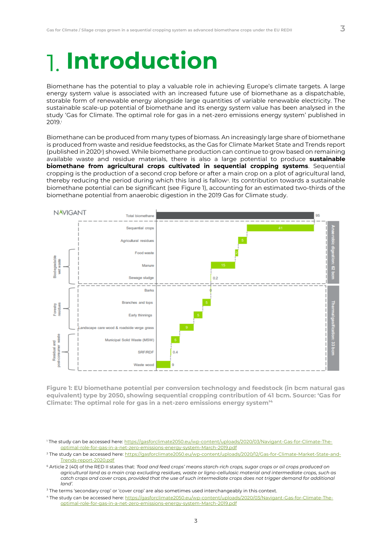# **Introduction**

Biomethane has the potential to play a valuable role in achieving Europe's climate targets. A large energy system value is associated with an increased future use of biomethane as a dispatchable, storable form of renewable energy alongside large quantities of variable renewable electricity. The sustainable scale-up potential of biomethane and its energy system value has been analysed in the study 'Gas for Climate. The optimal role for gas in a net-zero emissions energy system' published in 2019.<sup>1</sup>

Biomethane can be produced from many types of biomass. An increasingly large share of biomethane is produced from waste and residue feedstocks, as the Gas for Climate Market State and Trends report (published in 2020<sup>2</sup> ) showed. While biomethane production can continue to grow based on remaining available waste and residue materials, there is also a large potential to produce **sustainable biomethane from agricultural crops cultivated in sequential cropping systems**. Sequential cropping is the production of a second crop before or after a main crop on a plot of agricultural land, thereby reducing the period during which this land is fallow<sup>3</sup> . Its contribution towards a sustainable biomethane potential can be significant (see [Figure 1\)](#page-2-0), accounting for an estimated two-thirds of the biomethane potential from anaerobic digestion in the 2019 Gas for Climate study.



<span id="page-2-0"></span>**Figure 1: EU biomethane potential per conversion technology and feedstock (in bcm natural gas equivalent) type by 2050, showing sequential cropping contribution of 41 bcm. Source: 'Gas for Climate: The optimal role for gas in a net-zero emissions energy system'<sup>4</sup>**

<sup>1</sup> The study can be accessed here: [https://gasforclimate2050.eu/wp-content/uploads/2020/03/Navigant-Gas-for-Climate-The](https://gasforclimate2050.eu/wp-content/uploads/2020/03/Navigant-Gas-for-Climate-The-optimal-role-for-gas-in-a-net-zero-emissions-energy-system-March-2019.pdf)[optimal-role-for-gas-in-a-net-zero-emissions-energy-system-March-2019.pdf](https://gasforclimate2050.eu/wp-content/uploads/2020/03/Navigant-Gas-for-Climate-The-optimal-role-for-gas-in-a-net-zero-emissions-energy-system-March-2019.pdf)

<sup>2</sup> The study can be accessed here: [https://gasforclimate2050.eu/wp-content/uploads/2020/12/Gas-for-Climate-Market-State-and-](https://gasforclimate2050.eu/wp-content/uploads/2020/12/Gas-for-Climate-Market-State-and-Trends-report-2020.pdf)[Trends-report-2020.pdf](https://gasforclimate2050.eu/wp-content/uploads/2020/12/Gas-for-Climate-Market-State-and-Trends-report-2020.pdf)

[<sup>6</sup>](#page-3-0) Article 2 (40) of the RED II states that: *'food and feed crops' means starch-rich crops, sugar crops or oil crops produced on agricultural land as a main crop excluding residues, waste or ligno-cellulosic material and intermediate crops, such as catch crops and cover crops, provided that the use of such intermediate crops does not trigger demand for additional land'.*

<sup>&</sup>lt;sup>3</sup> The terms 'secondary crop' or 'cover crop' are also sometimes used interchangeably in this context.

<sup>4</sup> The study can be accessed here[: https://gasforclimate2050.eu/wp-content/uploads/2020/03/Navigant-Gas-for-Climate-The](https://gasforclimate2050.eu/wp-content/uploads/2020/03/Navigant-Gas-for-Climate-The-optimal-role-for-gas-in-a-net-zero-emissions-energy-system-March-2019.pdf)[optimal-role-for-gas-in-a-net-zero-emissions-energy-system-March-2019.pdf](https://gasforclimate2050.eu/wp-content/uploads/2020/03/Navigant-Gas-for-Climate-The-optimal-role-for-gas-in-a-net-zero-emissions-energy-system-March-2019.pdf)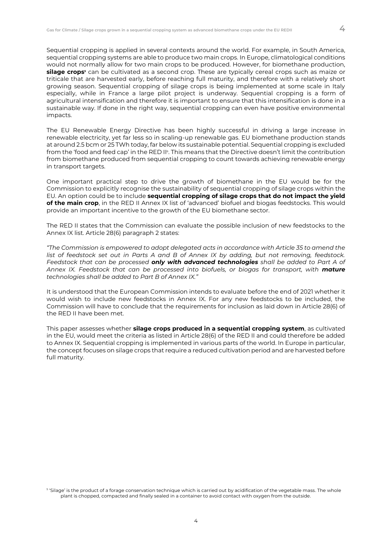Sequential cropping is applied in several contexts around the world. For example, in South America, sequential cropping systems are able to produce two main crops. In Europe, climatological conditions would not normally allow for two main crops to be produced. However, for biomethane production, **silage crops<sup>5</sup>** can be cultivated as a second crop. These are typically cereal crops such as maize or triticale that are harvested early, before reaching full maturity, and therefore with a relatively short growing season. Sequential cropping of silage crops is being implemented at some scale in Italy especially, while in France a large pilot project is underway. Sequential cropping is a form of agricultural intensification and therefore it is important to ensure that this intensification is done in a sustainable way. If done in the right way, sequential cropping can even have positive environmental impacts.

<span id="page-3-0"></span>The EU Renewable Energy Directive has been highly successful in driving a large increase in renewable electricity, yet far less so in scaling-up renewable gas. EU biomethane production stands at around 2.5 bcm or 25 TWh today, far below its sustainable potential. Sequential cropping is excluded from the 'food and feed cap' in the RED II<sub>6</sub>. This means that the Directive doesn't limit the contribution from biomethane produced from sequential cropping to count towards achieving renewable energy in transport targets.

One important practical step to drive the growth of biomethane in the EU would be for the Commission to explicitly recognise the sustainability of sequential cropping of silage crops within the EU. An option could be to include **sequential cropping of silage crops that do not impact the yield of the main crop**, in the RED II Annex IX list of 'advanced' biofuel and biogas feedstocks. This would provide an important incentive to the growth of the EU biomethane sector.

The RED II states that the Commission can evaluate the possible inclusion of new feedstocks to the Annex IX list. Article 28(6) paragraph 2 states:

*"The Commission is empowered to adopt delegated acts in accordance with Article 35 to amend the list of feedstock set out in Parts A and B of Annex IX by adding, but not removing, feedstock. Feedstock that can be processed only with advanced technologies shall be added to Part A of Annex IX. Feedstock that can be processed into biofuels, or biogas for transport, with mature technologies shall be added to Part B of Annex IX."*

It is understood that the European Commission intends to evaluate before the end of 2021 whether it would wish to include new feedstocks in Annex IX. For any new feedstocks to be included, the Commission will have to conclude that the requirements for inclusion as laid down in Article 28(6) of the RED II have been met.

This paper assesses whether **silage crops produced in a sequential cropping system**, as cultivated in the EU, would meet the criteria as listed in Article 28(6) of the RED II and could therefore be added to Annex IX. Sequential cropping is implemented in various parts of the world. In Europe in particular, the concept focuses on silage crops that require a reduced cultivation period and are harvested before full maturity.

 $^{\rm 5}$  'Silage' is the product of a forage conservation technique which is carried out by acidification of the vegetable mass. The whole plant is chopped, compacted and finally sealed in a container to avoid contact with oxygen from the outside.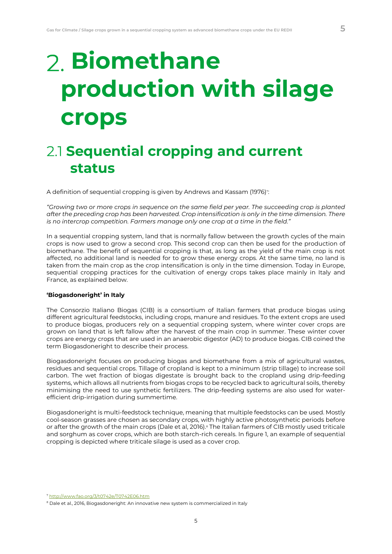# **Biomethane production with silage crops**

### **2.1 Sequential cropping and current status**

A definition of sequential cropping is given by Andrews and Kassam (1976) $^{\circ}$ :

*"Growing two or more crops in sequence on the same field per year. The succeeding crop is planted after the preceding crop has been harvested. Crop intensification is only in the time dimension. There is no intercrop competition. Farmers manage only one crop at a time in the field."*

In a sequential cropping system, land that is normally fallow between the growth cycles of the main crops is now used to grow a second crop. This second crop can then be used for the production of biomethane. The benefit of sequential cropping is that, as long as the yield of the main crop is not affected, no additional land is needed for to grow these energy crops. At the same time, no land is taken from the main crop as the crop intensification is only in the time dimension. Today in Europe, sequential cropping practices for the cultivation of energy crops takes place mainly in Italy and France, as explained below.

### **'Biogasdoneright' in Italy**

The Consorzio Italiano Biogas (CIB) is a consortium of Italian farmers that produce biogas using different agricultural feedstocks, including crops, manure and residues. To the extent crops are used to produce biogas, producers rely on a sequential cropping system, where winter cover crops are grown on land that is left fallow after the harvest of the main crop in summer. These winter cover crops are energy crops that are used in an anaerobic digestor (AD) to produce biogas. CIB coined the term Biogasdoneright to describe their process.

Biogasdoneright focuses on producing biogas and biomethane from a mix of agricultural wastes, residues and sequential crops. Tillage of cropland is kept to a minimum (strip tillage) to increase soil carbon. The wet fraction of biogas digestate is brought back to the cropland using drip-feeding systems, which allows all nutrients from biogas crops to be recycled back to agricultural soils, thereby minimising the need to use synthetic fertilizers. The drip-feeding systems are also used for waterefficient drip-irrigation during summertime.

Biogasdoneright is multi-feedstock technique, meaning that multiple feedstocks can be used. Mostly cool-season grasses are chosen as secondary crops, with highly active photosynthetic periods before or after the growth of the main crops (Dale et al, 2016).<sup>8</sup> The Italian farmers of CIB mostly used triticale and sorghum as cover crops, which are both starch-rich cereals. In figure 1, an example of sequential cropping is depicted where triticale silage is used as a cover crop.

<sup>7</sup> <http://www.fao.org/3/t0742e/T0742E06.htm>

<sup>&</sup>lt;sup>8</sup> Dale et al., 2016, Biogasdoneright: An innovative new system is commercialized in Italy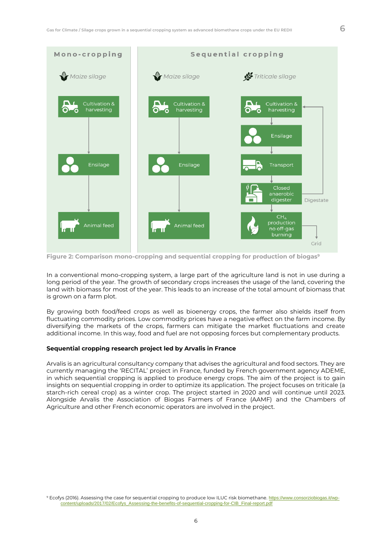

**Figure 2: Comparison mono-cropping and sequential cropping for production of biogas<sup>9</sup>**

In a conventional mono-cropping system, a large part of the agriculture land is not in use during a long period of the year. The growth of secondary crops increases the usage of the land, covering the land with biomass for most of the year. This leads to an increase of the total amount of biomass that is grown on a farm plot.

By growing both food/feed crops as well as bioenergy crops, the farmer also shields itself from fluctuating commodity prices. Low commodity prices have a negative effect on the farm income. By diversifying the markets of the crops, farmers can mitigate the market fluctuations and create additional income. In this way, food and fuel are not opposing forces but complementary products.

#### **Sequential cropping research project led by Arvalis in France**

Arvalis is an agricultural consultancy company that advises the agricultural and food sectors. They are currently managing the 'RECITAL' project in France, funded by French government agency ADEME, in which sequential cropping is applied to produce energy crops. The aim of the project is to gain insights on sequential cropping in order to optimize its application. The project focuses on triticale (a starch-rich cereal crop) as a winter crop. The project started in 2020 and will continue until 2023. Alongside Arvalis the Association of Biogas Farmers of France (AAMF) and the Chambers of Agriculture and other French economic operators are involved in the project.

<sup>9</sup> Ecofys (2016). Assessing the case for sequential cropping to produce low ILUC risk biomethane. [https://www.consorziobiogas.it/wp](https://www.consorziobiogas.it/wp-content/uploads/2017/02/Ecofys_Assessing-the-benefits-of-sequential-cropping-for-CIB_Final-report.pdf)[content/uploads/2017/02/Ecofys\\_Assessing-the-benefits-of-sequential-cropping-for-CIB\\_Final-report.pdf](https://www.consorziobiogas.it/wp-content/uploads/2017/02/Ecofys_Assessing-the-benefits-of-sequential-cropping-for-CIB_Final-report.pdf)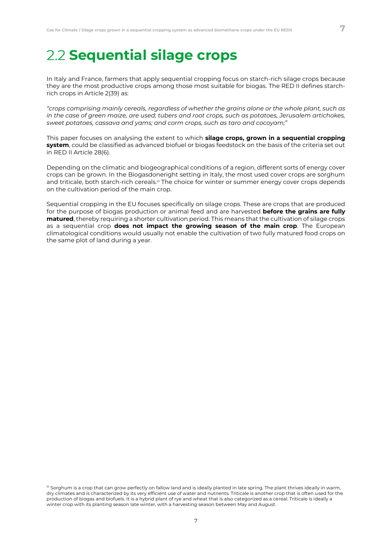### **2.2 Sequential silage crops**

In Italy and France, farmers that apply sequential cropping focus on starch-rich silage crops because they are the most productive crops among those most suitable for biogas. The RED II defines starchrich crops in Article 2(39) as:

*"crops comprising mainly cereals, regardless of whether the grains alone or the whole plant, such as in the case of green maize, are used; tubers and root crops, such as potatoes, Jerusalem artichokes, sweet potatoes, cassava and yams; and corm crops, such as taro and cocoyam;"*

This paper focuses on analysing the extent to which **silage crops, grown in a sequential cropping system**, could be classified as advanced biofuel or biogas feedstock on the basis of the criteria set out in RED II Article 28(6).

Depending on the climatic and biogeographical conditions of a region, different sorts of energy cover crops can be grown. In the Biogasdoneright setting in Italy, the most used cover crops are sorghum and triticale, both starch-rich cereals.<sup>10</sup> The choice for winter or summer energy cover crops depends on the cultivation period of the main crop.

Sequential cropping in the EU focuses specifically on silage crops. These are crops that are produced for the purpose of biogas production or animal feed and are harvested **before the grains are fully matured**, thereby requiring a shorter cultivation period. This means that the cultivation of silage crops as a sequential crop **does not impact the growing season of the main crop**. The European climatological conditions would usually not enable the cultivation of two fully matured food crops on the same plot of land during a year.

 $10$  Sorghum is a crop that can grow perfectly on fallow land and is ideally planted in late spring. The plant thrives ideally in warm, dry climates and is characterized by its very efficient use of water and nutrients. Triticale is another crop that is often used for the production of biogas and biofuels. It is a hybrid plant of rye and wheat that is also categorized as a cereal. Triticale is ideally a winter crop with its planting season late winter, with a harvesting season between May and August.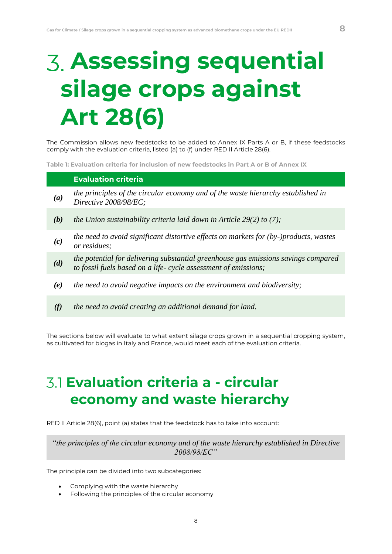# **Assessing sequential silage crops against Art 28(6)**

The Commission allows new feedstocks to be added to Annex IX Parts A or B, if these feedstocks comply with the evaluation criteria, listed (a) to (f) under RED II Article 28(6).

**Table 1: Evaluation criteria for inclusion of new feedstocks in Part A or B of Annex IX**

### **Evaluation criteria**

- *(a) the principles of the circular economy and of the waste hierarchy established in Directive 2008/98/EC;*
- *(b) the Union sustainability criteria laid down in Article 29(2) to (7);*
- *(c) the need to avoid significant distortive effects on markets for (by-)products, wastes or residues;*
- *(d) the potential for delivering substantial greenhouse gas emissions savings compared to fossil fuels based on a life- cycle assessment of emissions;*
- *(e) the need to avoid negative impacts on the environment and biodiversity;*
- *(f) the need to avoid creating an additional demand for land.*

The sections below will evaluate to what extent silage crops grown in a sequential cropping system, as cultivated for biogas in Italy and France, would meet each of the evaluation criteria.

### **Evaluation criteria a - circular economy and waste hierarchy**

RED II Article 28(6), point (a) states that the feedstock has to take into account:

*"the principles of the circular economy and of the waste hierarchy established in Directive 2008/98/EC"*

The principle can be divided into two subcategories:

- Complying with the waste hierarchy
- Following the principles of the circular economy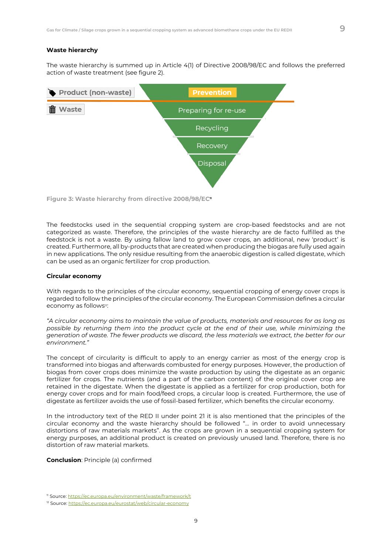#### **Waste hierarchy**

The waste hierarchy is summed up in Article 4(1) of Directive 2008/98/EC and follows the preferred action of waste treatment (see figure 2).



**Figure 3: Waste hierarchy from directive 2008/98/EC<sup>11</sup>**

The feedstocks used in the sequential cropping system are crop-based feedstocks and are not categorized as waste. Therefore, the principles of the waste hierarchy are de facto fulfilled as the feedstock is not a waste. By using fallow land to grow cover crops, an additional, new 'product' is created. Furthermore, all by-products that are created when producing the biogas are fully used again in new applications. The only residue resulting from the anaerobic digestion is called digestate, which can be used as an organic fertilizer for crop production.

#### **Circular economy**

With regards to the principles of the circular economy, sequential cropping of energy cover crops is regarded to follow the principles of the circular economy. The European Commission defines a circular economy as follows<sup>12</sup>:

*"A circular economy aims to maintain the value of products, materials and resources for as long as possible by returning them into the product cycle at the end of their use, while minimizing the generation of waste. The fewer products we discard, the less materials we extract, the better for our environment."*

The concept of circularity is difficult to apply to an energy carrier as most of the energy crop is transformed into biogas and afterwards combusted for energy purposes. However, the production of biogas from cover crops does minimize the waste production by using the digestate as an organic fertilizer for crops. The nutrients (and a part of the carbon content) of the original cover crop are retained in the digestate. When the digestate is applied as a fertilizer for crop production, both for energy cover crops and for main food/feed crops, a circular loop is created. Furthermore, the use of digestate as fertilizer avoids the use of fossil-based fertilizer, which benefits the circular economy.

In the introductory text of the RED II under point 21 it is also mentioned that the principles of the circular economy and the waste hierarchy should be followed "… in order to avoid unnecessary distortions of raw materials markets". As the crops are grown in a sequential cropping system for energy purposes, an additional product is created on previously unused land. Therefore, there is no distortion of raw material markets.

**Conclusion**: Principle (a) confirmed

<sup>11</sup> Source[: https://ec.europa.eu/environment/waste/framework/t](https://ec.europa.eu/environment/waste/framework/t)

<sup>&</sup>lt;sup>12</sup> Source: <https://ec.europa.eu/eurostat/web/circular-economy>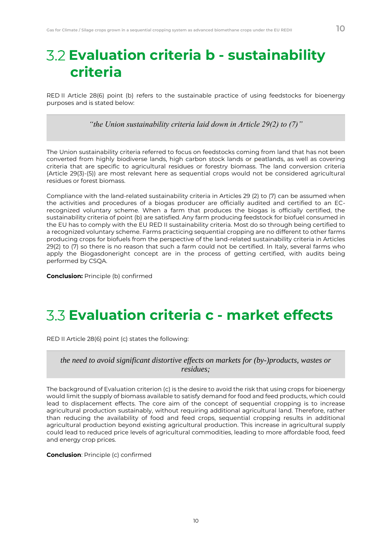RED II Article 28(6) point (b) refers to the sustainable practice of using feedstocks for bioenergy purposes and is stated below:

*"the Union sustainability criteria laid down in Article 29(2) to (7)"*

The Union sustainability criteria referred to focus on feedstocks coming from land that has not been converted from highly biodiverse lands, high carbon stock lands or peatlands, as well as covering criteria that are specific to agricultural residues or forestry biomass. The land conversion criteria (Article 29(3)-(5)) are most relevant here as sequential crops would not be considered agricultural residues or forest biomass.

Compliance with the land-related sustainability criteria in Articles 29 (2) to (7) can be assumed when the activities and procedures of a biogas producer are officially audited and certified to an ECrecognized voluntary scheme. When a farm that produces the biogas is officially certified, the sustainability criteria of point (b) are satisfied. Any farm producing feedstock for biofuel consumed in the EU has to comply with the EU RED II sustainability criteria. Most do so through being certified to a recognized voluntary scheme. Farms practicing sequential cropping are no different to other farms producing crops for biofuels from the perspective of the land-related sustainability criteria in Articles 29(2) to (7) so there is no reason that such a farm could not be certified. In Italy, several farms who apply the Biogasdoneright concept are in the process of getting certified, with audits being performed by CSQA.

**Conclusion:** Principle (b) confirmed

### **Evaluation criteria c - market effects**

RED II Article 28(6) point (c) states the following:

### *the need to avoid significant distortive effects on markets for (by-)products, wastes or residues;*

The background of Evaluation criterion (c) is the desire to avoid the risk that using crops for bioenergy would limit the supply of biomass available to satisfy demand for food and feed products, which could lead to displacement effects. The core aim of the concept of sequential cropping is to increase agricultural production sustainably, without requiring additional agricultural land. Therefore, rather than reducing the availability of food and feed crops, sequential cropping results in additional agricultural production beyond existing agricultural production. This increase in agricultural supply could lead to reduced price levels of agricultural commodities, leading to more affordable food, feed and energy crop prices.

**Conclusion**: Principle (c) confirmed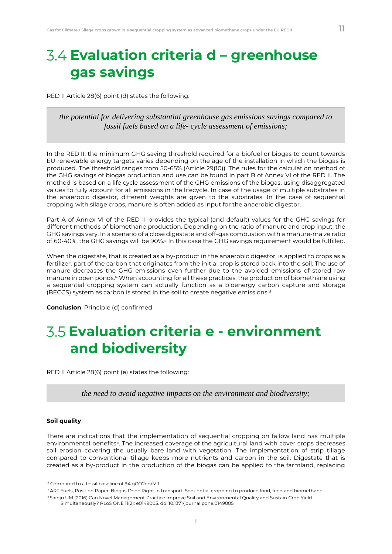### **Evaluation criteria d – greenhouse gas savings**

RED II Article 28(6) point (d) states the following:

### *the potential for delivering substantial greenhouse gas emissions savings compared to fossil fuels based on a life- cycle assessment of emissions;*

In the RED II, the minimum GHG saving threshold required for a biofuel or biogas to count towards EU renewable energy targets varies depending on the age of the installation in which the biogas is produced. The threshold ranges from 50-65% (Article 29(10)). The rules for the calculation method of the GHG savings of biogas production and use can be found in part B of Annex VI of the RED II. The method is based on a life cycle assessment of the GHG emissions of the biogas, using disaggregated values to fully account for all emissions in the lifecycle. In case of the usage of multiple substrates in the anaerobic digestor, different weights are given to the substrates. In the case of sequential cropping with silage crops, manure is often added as input for the anaerobic digestor.

Part A of Annex VI of the RED II provides the typical (and default) values for the GHG savings for different methods of biomethane production. Depending on the ratio of manure and crop input, the GHG savings vary. In a scenario of a close digestate and off-gas combustion with a manure-maize ratio of 60-40%, the GHG savings will be 90%.<sup>13</sup> In this case the GHG savings requirement would be fulfilled.

When the digestate, that is created as a by-product in the anaerobic digestor, is applied to crops as a fertilizer, part of the carbon that originates from the initial crop is stored back into the soil. The use of manure decreases the GHG emissions even further due to the avoided emissions of stored raw manure in open ponds.<sup>14</sup> When accounting for all these practices, the production of biomethane using a sequential cropping system can actually function as a bioenergy carbon capture and storage (BECCS) system as carbon is stored in the soil to create negative emissions.<sup>8</sup>

**Conclusion**: Principle (d) confirmed

### **Evaluation criteria e - environment and biodiversity**

RED II Article 28(6) point (e) states the following:

*the need to avoid negative impacts on the environment and biodiversity;*

#### **Soil quality**

There are indications that the implementation of sequential cropping on fallow land has multiple environmental benefits<sup>15</sup>. The increased coverage of the agricultural land with cover crops decreases soil erosion covering the usually bare land with vegetation. The implementation of strip tillage compared to conventional tillage keeps more nutrients and carbon in the soil. Digestate that is created as a by-product in the production of the biogas can be applied to the farmland, replacing

<sup>14</sup> ART Fuels, Position Paper: Biogas Done Right in transport: Sequential cropping to produce food, feed and biomethane

<sup>&</sup>lt;sup>13</sup> Compared to a fossil baseline of 94 gCO2eq/MJ

<sup>&</sup>lt;sup>15</sup> Sainju UM (2016) Can Novel Management Practice Improve Soil and Environmental Quality and Sustain Crop Yield

Simultaneously? PLoS ONE 11(2): e0149005. doi:10.1371/journal.pone.0149005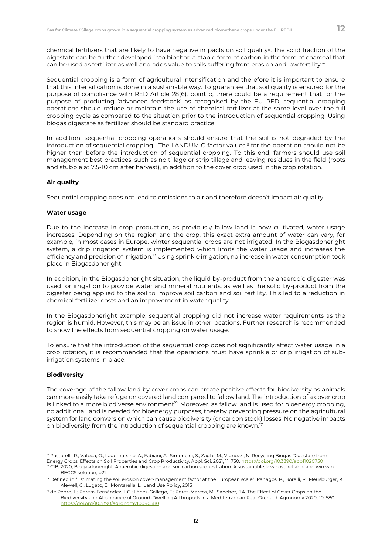chemical fertilizers that are likely to have negative impacts on soil quality<sup>®</sup>. The solid fraction of the digestate can be further developed into biochar, a stable form of carbon in the form of charcoal that can be used as fertilizer as well and adds value to soils suffering from erosion and low fertility.<sup>17</sup>

Sequential cropping is a form of agricultural intensification and therefore it is important to ensure that this intensification is done in a sustainable way. To guarantee that soil quality is ensured for the purpose of compliance with RED Article 28(6), point b, there could be a requirement that for the purpose of producing 'advanced feedstock' as recognised by the EU RED, sequential cropping operations should reduce or maintain the use of chemical fertilizer at the same level over the full cropping cycle as compared to the situation prior to the introduction of sequential cropping. Using biogas digestate as fertilizer should be standard practice.

In addition, sequential cropping operations should ensure that the soil is not degraded by the introduction of sequential cropping. The LANDUM C-factor values<sup>18</sup> for the operation should not be higher than before the introduction of sequential cropping. To this end, farmers should use soil management best practices, such as no tillage or strip tillage and leaving residues in the field (roots and stubble at 7.5-10 cm after harvest), in addition to the cover crop used in the crop rotation.

#### **Air quality**

Sequential cropping does not lead to emissions to air and therefore doesn't impact air quality.

#### **Water usage**

Due to the increase in crop production, as previously fallow land is now cultivated, water usage increases. Depending on the region and the crop, this exact extra amount of water can vary, for example, in most cases in Europe, winter sequential crops are not irrigated. In the Biogasdoneright system, a drip irrigation system is implemented which limits the water usage and increases the efficiency and precision of irrigation.<sup>17</sup> Using sprinkle irrigation, no increase in water consumption took place in Biogasdoneright.

In addition, in the Biogasdoneright situation, the liquid by-product from the anaerobic digester was used for irrigation to provide water and mineral nutrients, as well as the solid by-product from the digester being applied to the soil to improve soil carbon and soil fertility. This led to a reduction in chemical fertilizer costs and an improvement in water quality.

In the Biogasdoneright example, sequential cropping did not increase water requirements as the region is humid. However, this may be an issue in other locations. Further research is recommended to show the effects from sequential cropping on water usage.

To ensure that the introduction of the sequential crop does not significantly affect water usage in a crop rotation, it is recommended that the operations must have sprinkle or drip irrigation of subirrigation systems in place.

#### **Biodiversity**

The coverage of the fallow land by cover crops can create positive effects for biodiversity as animals can more easily take refuge on covered land compared to fallow land. The introduction of a cover crop is linked to a more biodiverse environment $19$ . Moreover, as fallow land is used for bioenergy cropping, no additional land is needed for bioenergy purposes, thereby preventing pressure on the agricultural system for land conversion which can cause biodiversity (or carbon stock) losses. No negative impacts on biodiversity from the introduction of sequential cropping are known.<sup>17</sup>

12

<sup>&</sup>lt;sup>16</sup> Pastorelli, R.; Valboa, G.; Lagomarsino, A.; Fabiani, A.; Simoncini, S.; Zaghi, M.; Vignozzi, N. Recycling Biogas Digestate from Energy Crops: Effects on Soil Properties and Crop Productivity. Appl. Sci. 2021, 11, 750.<https://doi.org/10.3390/app11020750>

 $17$  CIB, 2020, Biogasdoneright: Anaerobic digestion and soil carbon sequestration. A sustainable, low cost, reliable and win win BECCS solution, p21

<sup>&</sup>lt;sup>18</sup> Defined in "Estimating the soil erosion cover-management factor at the European scale", Panagos, P., Borelli, P., Meusburger, K., Alewell, C., Lugato, E., Montarella, L., Land Use Policy, 2015

<sup>19</sup> de Pedro, L.; Perera-Fernández, L.G.; López-Gallego, E.; Pérez-Marcos, M.; Sanchez, J.A. The Effect of Cover Crops on the Biodiversity and Abundance of Ground-Dwelling Arthropods in a Mediterranean Pear Orchard. Agronomy 2020, 10, 580. <https://doi.org/10.3390/agronomy10040580>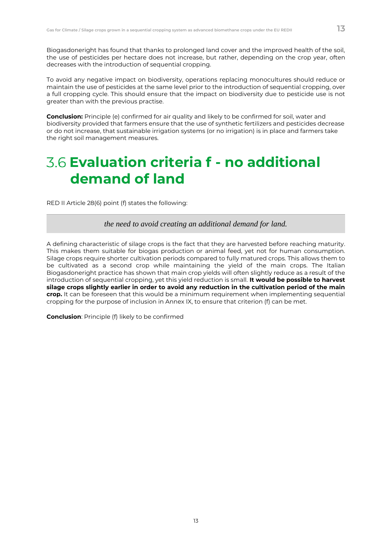Biogasdoneright has found that thanks to prolonged land cover and the improved health of the soil, the use of pesticides per hectare does not increase, but rather, depending on the crop year, often decreases with the introduction of sequential cropping.

To avoid any negative impact on biodiversity, operations replacing monocultures should reduce or maintain the use of pesticides at the same level prior to the introduction of sequential cropping, over a full cropping cycle. This should ensure that the impact on biodiversity due to pesticide use is not greater than with the previous practise.

**Conclusion:** Principle (e) confirmed for air quality and likely to be confirmed for soil, water and biodiversity provided that farmers ensure that the use of synthetic fertilizers and pesticides decrease or do not increase, that sustainable irrigation systems (or no irrigation) is in place and farmers take the right soil management measures.

### **Evaluation criteria f - no additional demand of land**

RED II Article 28(6) point (f) states the following:

*the need to avoid creating an additional demand for land.*

A defining characteristic of silage crops is the fact that they are harvested before reaching maturity. This makes them suitable for biogas production or animal feed, yet not for human consumption. Silage crops require shorter cultivation periods compared to fully matured crops. This allows them to be cultivated as a second crop while maintaining the yield of the main crops. The Italian Biogasdoneright practice has shown that main crop yields will often slightly reduce as a result of the introduction of sequential cropping, yet this yield reduction is small. **It would be possible to harvest silage crops slightly earlier in order to avoid any reduction in the cultivation period of the main crop.** It can be foreseen that this would be a minimum requirement when implementing sequential cropping for the purpose of inclusion in Annex IX, to ensure that criterion (f) can be met.

**Conclusion**: Principle (f) likely to be confirmed